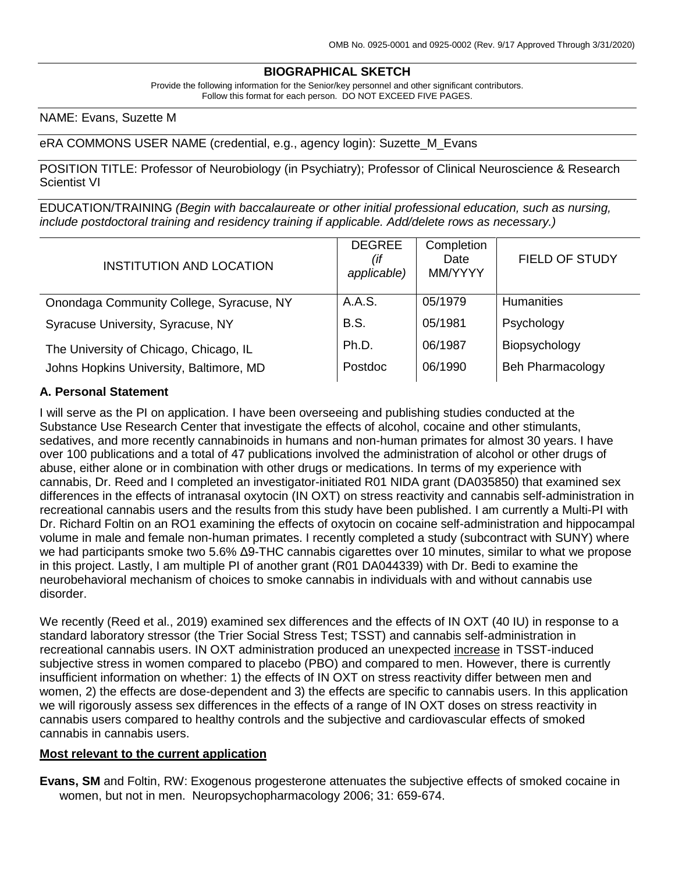# **BIOGRAPHICAL SKETCH**

Provide the following information for the Senior/key personnel and other significant contributors. Follow this format for each person. DO NOT EXCEED FIVE PAGES.

NAME: Evans, Suzette M

eRA COMMONS USER NAME (credential, e.g., agency login): Suzette\_M\_Evans

POSITION TITLE: Professor of Neurobiology (in Psychiatry); Professor of Clinical Neuroscience & Research Scientist VI

EDUCATION/TRAINING *(Begin with baccalaureate or other initial professional education, such as nursing, include postdoctoral training and residency training if applicable. Add/delete rows as necessary.)*

| <b>INSTITUTION AND LOCATION</b>          | <b>DEGREE</b><br>(if<br>applicable) | Completion<br>Date<br>MM/YYYY | <b>FIELD OF STUDY</b>   |
|------------------------------------------|-------------------------------------|-------------------------------|-------------------------|
| Onondaga Community College, Syracuse, NY | A.A.S.                              | 05/1979                       | <b>Humanities</b>       |
| Syracuse University, Syracuse, NY        | <b>B.S.</b>                         | 05/1981                       | Psychology              |
| The University of Chicago, Chicago, IL   | Ph.D.                               | 06/1987                       | Biopsychology           |
| Johns Hopkins University, Baltimore, MD  | Postdoc                             | 06/1990                       | <b>Beh Pharmacology</b> |
|                                          |                                     |                               |                         |

#### **A. Personal Statement**

I will serve as the PI on application. I have been overseeing and publishing studies conducted at the Substance Use Research Center that investigate the effects of alcohol, cocaine and other stimulants, sedatives, and more recently cannabinoids in humans and non-human primates for almost 30 years. I have over 100 publications and a total of 47 publications involved the administration of alcohol or other drugs of abuse, either alone or in combination with other drugs or medications. In terms of my experience with cannabis, Dr. Reed and I completed an investigator-initiated R01 NIDA grant (DA035850) that examined sex differences in the effects of intranasal oxytocin (IN OXT) on stress reactivity and cannabis self-administration in recreational cannabis users and the results from this study have been published. I am currently a Multi-PI with Dr. Richard Foltin on an RO1 examining the effects of oxytocin on cocaine self-administration and hippocampal volume in male and female non-human primates. I recently completed a study (subcontract with SUNY) where we had participants smoke two 5.6% Δ9-THC cannabis cigarettes over 10 minutes, similar to what we propose in this project. Lastly, I am multiple PI of another grant (R01 DA044339) with Dr. Bedi to examine the neurobehavioral mechanism of choices to smoke cannabis in individuals with and without cannabis use disorder.

We recently (Reed et al., 2019) examined sex differences and the effects of IN OXT (40 IU) in response to a standard laboratory stressor (the Trier Social Stress Test; TSST) and cannabis self-administration in recreational cannabis users. IN OXT administration produced an unexpected increase in TSST-induced subjective stress in women compared to placebo (PBO) and compared to men. However, there is currently insufficient information on whether: 1) the effects of IN OXT on stress reactivity differ between men and women, 2) the effects are dose-dependent and 3) the effects are specific to cannabis users. In this application we will rigorously assess sex differences in the effects of a range of IN OXT doses on stress reactivity in cannabis users compared to healthy controls and the subjective and cardiovascular effects of smoked cannabis in cannabis users.

#### **Most relevant to the current application**

**Evans, SM** and Foltin, RW: Exogenous progesterone attenuates the subjective effects of smoked cocaine in women, but not in men. Neuropsychopharmacology 2006; 31: 659-674.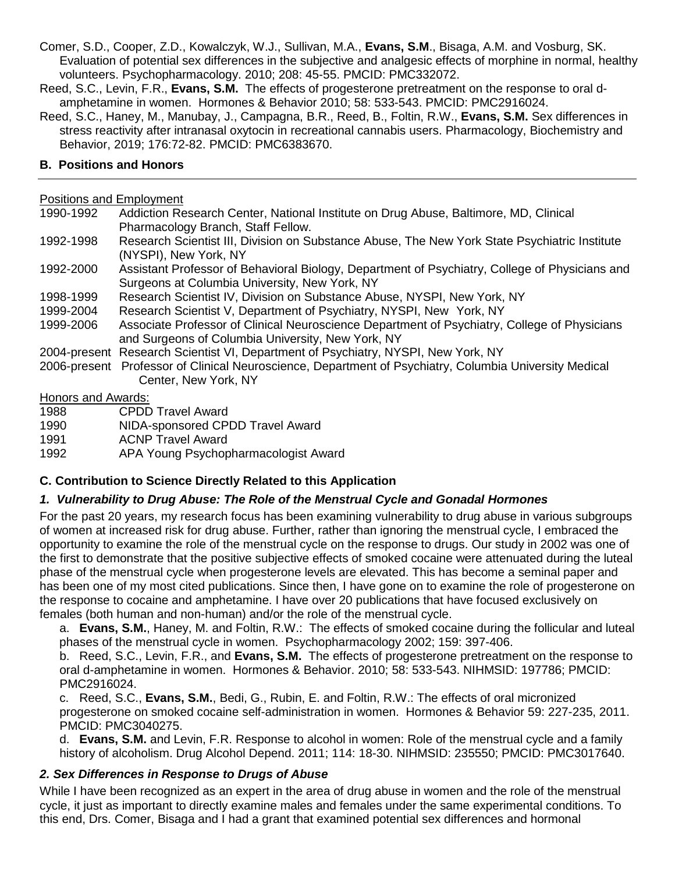- Comer, S.D., Cooper, Z.D., Kowalczyk, W.J., Sullivan, M.A., **Evans, S.M**., Bisaga, A.M. and Vosburg, SK. Evaluation of potential sex differences in the subjective and analgesic effects of morphine in normal, healthy volunteers. Psychopharmacology. 2010; 208: 45-55. PMCID: PMC332072.
- Reed, S.C., Levin, F.R., **Evans, S.M.** The effects of progesterone pretreatment on the response to oral damphetamine in women. Hormones & Behavior 2010; 58: 533-543. PMCID: PMC2916024.
- Reed, S.C., Haney, M., Manubay, J., Campagna, B.R., Reed, B., Foltin, R.W., **Evans, S.M.** Sex differences in stress reactivity after intranasal oxytocin in recreational cannabis users. Pharmacology, Biochemistry and Behavior, 2019; 176:72-82. PMCID: PMC6383670.

#### **B. Positions and Honors**

### Positions and Employment

- 1990-1992 Addiction Research Center, National Institute on Drug Abuse, Baltimore, MD, Clinical Pharmacology Branch, Staff Fellow. 1992-1998 Research Scientist III, Division on Substance Abuse, The New York State Psychiatric Institute (NYSPI), New York, NY
- 1992-2000 Assistant Professor of Behavioral Biology, Department of Psychiatry, College of Physicians and Surgeons at Columbia University, New York, NY
- 1998-1999 Research Scientist IV, Division on Substance Abuse, NYSPI, New York, NY
- 1999-2004 Research Scientist V, Department of Psychiatry, NYSPI, New York, NY
- 1999-2006 Associate Professor of Clinical Neuroscience Department of Psychiatry, College of Physicians and Surgeons of Columbia University, New York, NY
- 2004-present Research Scientist VI, Department of Psychiatry, NYSPI, New York, NY
- 2006-present Professor of Clinical Neuroscience, Department of Psychiatry, Columbia University Medical Center, New York, NY

#### Honors and Awards:

| 1988 | <b>CPDD Travel Award</b> |
|------|--------------------------|
|------|--------------------------|

- 1990 NIDA-sponsored CPDD Travel Award
- 1991 ACNP Travel Award
- 1992 APA Young Psychopharmacologist Award

## **C. Contribution to Science Directly Related to this Application**

## *1. Vulnerability to Drug Abuse: The Role of the Menstrual Cycle and Gonadal Hormones*

For the past 20 years, my research focus has been examining vulnerability to drug abuse in various subgroups of women at increased risk for drug abuse. Further, rather than ignoring the menstrual cycle, I embraced the opportunity to examine the role of the menstrual cycle on the response to drugs. Our study in 2002 was one of the first to demonstrate that the positive subjective effects of smoked cocaine were attenuated during the luteal phase of the menstrual cycle when progesterone levels are elevated. This has become a seminal paper and has been one of my most cited publications. Since then, I have gone on to examine the role of progesterone on the response to cocaine and amphetamine. I have over 20 publications that have focused exclusively on females (both human and non-human) and/or the role of the menstrual cycle.

a. **Evans, S.M.**, Haney, M. and Foltin, R.W.: The effects of smoked cocaine during the follicular and luteal phases of the menstrual cycle in women. Psychopharmacology 2002; 159: 397-406.

b. Reed, S.C., Levin, F.R., and **Evans, S.M.** The effects of progesterone pretreatment on the response to oral d-amphetamine in women. Hormones & Behavior. 2010; 58: 533-543. NIHMSID: 197786; PMCID: PMC2916024.

c. Reed, S.C., **Evans, S.M.**, Bedi, G., Rubin, E. and Foltin, R.W.: The effects of oral micronized progesterone on smoked cocaine self-administration in women. Hormones & Behavior 59: 227-235, 2011. PMCID: PMC3040275.

d. **Evans, S.M.** and Levin, F.R. Response to alcohol in women: Role of the menstrual cycle and a family history of alcoholism. Drug Alcohol Depend. 2011; 114: 18-30. NIHMSID: 235550; PMCID: PMC3017640.

## *2. Sex Differences in Response to Drugs of Abuse*

While I have been recognized as an expert in the area of drug abuse in women and the role of the menstrual cycle, it just as important to directly examine males and females under the same experimental conditions. To this end, Drs. Comer, Bisaga and I had a grant that examined potential sex differences and hormonal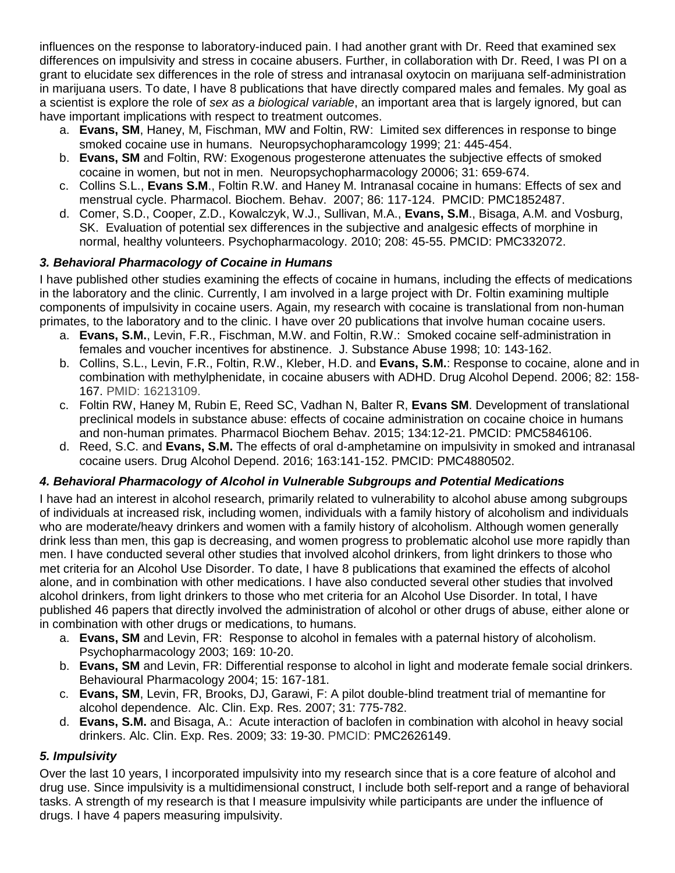influences on the response to laboratory-induced pain. I had another grant with Dr. Reed that examined sex differences on impulsivity and stress in cocaine abusers. Further, in collaboration with Dr. Reed, I was PI on a grant to elucidate sex differences in the role of stress and intranasal oxytocin on marijuana self-administration in marijuana users. To date, I have 8 publications that have directly compared males and females. My goal as a scientist is explore the role of *sex as a biological variable*, an important area that is largely ignored, but can have important implications with respect to treatment outcomes.

- a. **Evans, SM**, Haney, M, Fischman, MW and Foltin, RW: Limited sex differences in response to binge smoked cocaine use in humans. Neuropsychopharamcology 1999; 21: 445-454.
- b. **Evans, SM** and Foltin, RW: Exogenous progesterone attenuates the subjective effects of smoked cocaine in women, but not in men. Neuropsychopharmacology 20006; 31: 659-674.
- c. Collins S.L., **Evans S.M**., Foltin R.W. and Haney M. Intranasal cocaine in humans: Effects of sex and menstrual cycle. Pharmacol. Biochem. Behav. 2007; 86: 117-124. PMCID: PMC1852487.
- d. Comer, S.D., Cooper, Z.D., Kowalczyk, W.J., Sullivan, M.A., **Evans, S.M**., Bisaga, A.M. and Vosburg, SK. Evaluation of potential sex differences in the subjective and analgesic effects of morphine in normal, healthy volunteers. Psychopharmacology. 2010; 208: 45-55. PMCID: PMC332072.

# *3. Behavioral Pharmacology of Cocaine in Humans*

I have published other studies examining the effects of cocaine in humans, including the effects of medications in the laboratory and the clinic. Currently, I am involved in a large project with Dr. Foltin examining multiple components of impulsivity in cocaine users. Again, my research with cocaine is translational from non-human primates, to the laboratory and to the clinic. I have over 20 publications that involve human cocaine users.

- a. **Evans, S.M.**, Levin, F.R., Fischman, M.W. and Foltin, R.W.: Smoked cocaine self-administration in females and voucher incentives for abstinence. J. Substance Abuse 1998; 10: 143-162.
- b. Collins, S.L., Levin, F.R., Foltin, R.W., Kleber, H.D. and **Evans, S.M.**: Response to cocaine, alone and in combination with methylphenidate, in cocaine abusers with ADHD. Drug Alcohol Depend. 2006; 82: 158- 167. PMID: 16213109.
- c. Foltin RW, Haney M, Rubin E, Reed SC, Vadhan N, Balter R, **Evans SM**. Development of translational preclinical models in substance abuse: effects of cocaine administration on cocaine choice in humans and non-human primates. Pharmacol Biochem Behav. 2015; 134:12-21. PMCID: PMC5846106.
- d. Reed, S.C. and **Evans, S.M.** The effects of oral d-amphetamine on impulsivity in smoked and intranasal cocaine users. Drug Alcohol Depend. 2016; 163:141-152. PMCID: PMC4880502.

## *4. Behavioral Pharmacology of Alcohol in Vulnerable Subgroups and Potential Medications*

I have had an interest in alcohol research, primarily related to vulnerability to alcohol abuse among subgroups of individuals at increased risk, including women, individuals with a family history of alcoholism and individuals who are moderate/heavy drinkers and women with a family history of alcoholism. Although women generally drink less than men, this gap is decreasing, and women progress to problematic alcohol use more rapidly than men. I have conducted several other studies that involved alcohol drinkers, from light drinkers to those who met criteria for an Alcohol Use Disorder. To date, I have 8 publications that examined the effects of alcohol alone, and in combination with other medications. I have also conducted several other studies that involved alcohol drinkers, from light drinkers to those who met criteria for an Alcohol Use Disorder. In total, I have published 46 papers that directly involved the administration of alcohol or other drugs of abuse, either alone or in combination with other drugs or medications, to humans.

- a. **Evans, SM** and Levin, FR: Response to alcohol in females with a paternal history of alcoholism. Psychopharmacology 2003; 169: 10-20.
- b. **Evans, SM** and Levin, FR: Differential response to alcohol in light and moderate female social drinkers. Behavioural Pharmacology 2004; 15: 167-181.
- c. **Evans, SM**, Levin, FR, Brooks, DJ, Garawi, F: A pilot double-blind treatment trial of memantine for alcohol dependence. Alc. Clin. Exp. Res. 2007; 31: 775-782.
- d. **Evans, S.M.** and Bisaga, A.: Acute interaction of baclofen in combination with alcohol in heavy social drinkers. Alc. Clin. Exp. Res. 2009; 33: 19-30. PMCID: PMC2626149.

# *5. Impulsivity*

Over the last 10 years, I incorporated impulsivity into my research since that is a core feature of alcohol and drug use. Since impulsivity is a multidimensional construct, I include both self-report and a range of behavioral tasks. A strength of my research is that I measure impulsivity while participants are under the influence of drugs. I have 4 papers measuring impulsivity.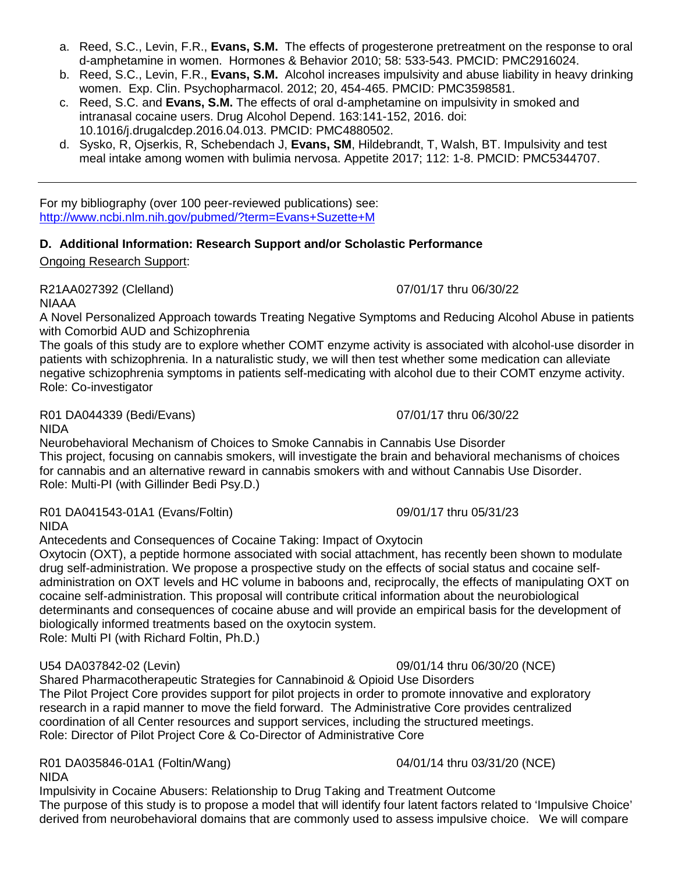- a. Reed, S.C., Levin, F.R., **Evans, S.M.** The effects of progesterone pretreatment on the response to oral d-amphetamine in women. Hormones & Behavior 2010; 58: 533-543. PMCID: PMC2916024.
- b. Reed, S.C., Levin, F.R., **Evans, S.M.** Alcohol increases impulsivity and abuse liability in heavy drinking women. Exp. Clin. Psychopharmacol. 2012; 20, 454-465. PMCID: PMC3598581.
- c. Reed, S.C. and **Evans, S.M.** The effects of oral d-amphetamine on impulsivity in smoked and intranasal cocaine users. Drug Alcohol Depend. 163:141-152, 2016. doi: 10.1016/j.drugalcdep.2016.04.013. PMCID: PMC4880502.
- d. Sysko, R, Ojserkis, R, Schebendach J, **Evans, SM**, Hildebrandt, T, Walsh, BT. Impulsivity and test meal intake among women with bulimia nervosa. Appetite 2017; 112: 1-8. PMCID: PMC5344707.

For my bibliography (over 100 peer-reviewed publications) see: <http://www.ncbi.nlm.nih.gov/pubmed/?term=Evans+Suzette+M>

## **D. Additional Information: Research Support and/or Scholastic Performance**

Ongoing Research Support:

R21AA027392 (Clelland) 07/01/17 thru 06/30/22 NIAAA

A Novel Personalized Approach towards Treating Negative Symptoms and Reducing Alcohol Abuse in patients with Comorbid AUD and Schizophrenia

The goals of this study are to explore whether COMT enzyme activity is associated with alcohol-use disorder in patients with schizophrenia. In a naturalistic study, we will then test whether some medication can alleviate negative schizophrenia symptoms in patients self-medicating with alcohol due to their COMT enzyme activity. Role: Co-investigator

R01 DA044339 (Bedi/Evans) 07/01/17 thru 06/30/22 NIDA

Neurobehavioral Mechanism of Choices to Smoke Cannabis in Cannabis Use Disorder This project, focusing on cannabis smokers, will investigate the brain and behavioral mechanisms of choices for cannabis and an alternative reward in cannabis smokers with and without Cannabis Use Disorder. Role: Multi-PI (with Gillinder Bedi Psy.D.)

R01 DA041543-01A1 (Evans/Foltin) 09/01/17 thru 05/31/23 NIDA

Antecedents and Consequences of Cocaine Taking: Impact of Oxytocin Oxytocin (OXT), a peptide hormone associated with social attachment, has recently been shown to modulate drug self-administration. We propose a prospective study on the effects of social status and cocaine selfadministration on OXT levels and HC volume in baboons and, reciprocally, the effects of manipulating OXT on cocaine self-administration. This proposal will contribute critical information about the neurobiological determinants and consequences of cocaine abuse and will provide an empirical basis for the development of biologically informed treatments based on the oxytocin system. Role: Multi PI (with Richard Foltin, Ph.D.)

#### U54 DA037842-02 (Levin) 09/01/14 thru 06/30/20 (NCE)

Shared Pharmacotherapeutic Strategies for Cannabinoid & Opioid Use Disorders The Pilot Project Core provides support for pilot projects in order to promote innovative and exploratory research in a rapid manner to move the field forward. The Administrative Core provides centralized coordination of all Center resources and support services, including the structured meetings. Role: Director of Pilot Project Core & Co-Director of Administrative Core

R01 DA035846-01A1 (Foltin/Wang) 04/01/14 thru 03/31/20 (NCE) NIDA

Impulsivity in Cocaine Abusers: Relationship to Drug Taking and Treatment Outcome The purpose of this study is to propose a model that will identify four latent factors related to 'Impulsive Choice' derived from neurobehavioral domains that are commonly used to assess impulsive choice. We will compare